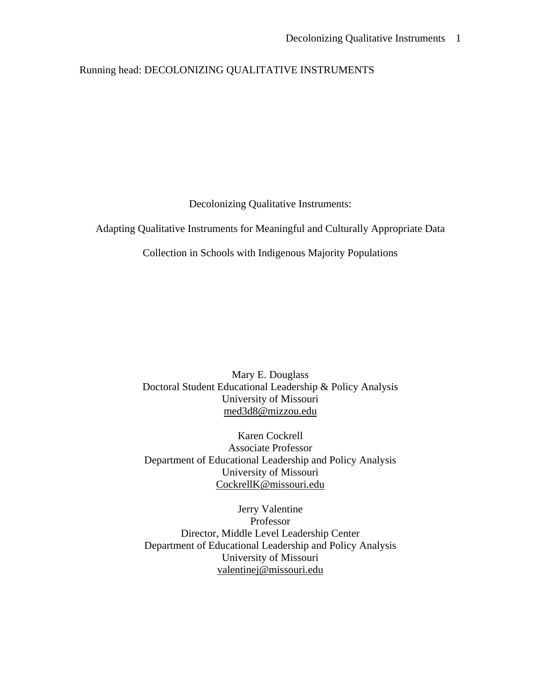# Running head: DECOLONIZING QUALITATIVE INSTRUMENTS

Decolonizing Qualitative Instruments:

Adapting Qualitative Instruments for Meaningful and Culturally Appropriate Data

Collection in Schools with Indigenous Majority Populations

Mary E. Douglass Doctoral Student Educational Leadership & Policy Analysis University of Missouri [med3d8@mizzou.edu](mailto:med3d8@mizzou.edu)

Karen Cockrell Associate Professor Department of Educational Leadership and Policy Analysis University of Missouri [CockrellK@missouri.edu](mailto:CockrellK@missouri.edu)

Jerry Valentine Professor Director, Middle Level Leadership Center Department of Educational Leadership and Policy Analysis University of Missouri [valentinej@missouri.edu](mailto:valentinej@missouri.edu)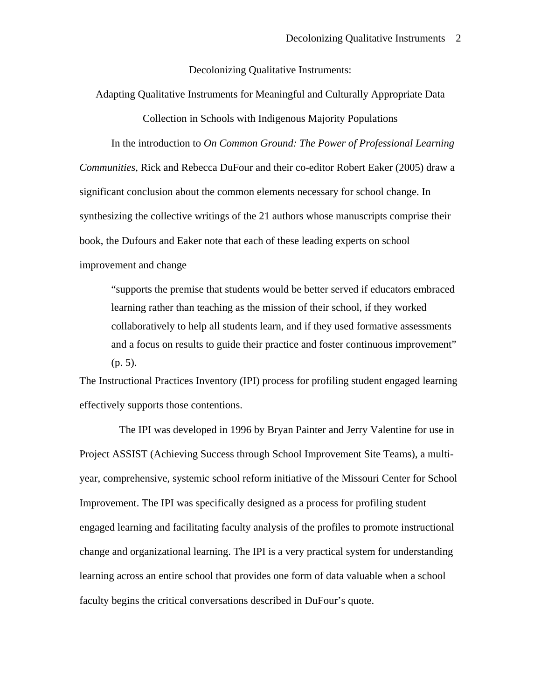Decolonizing Qualitative Instruments:

Adapting Qualitative Instruments for Meaningful and Culturally Appropriate Data Collection in Schools with Indigenous Majority Populations

In the introduction to *On Common Ground: The Power of Professional Learning Communities*, Rick and Rebecca DuFour and their co-editor Robert Eaker (2005) draw a significant conclusion about the common elements necessary for school change. In synthesizing the collective writings of the 21 authors whose manuscripts comprise their book, the Dufours and Eaker note that each of these leading experts on school improvement and change

"supports the premise that students would be better served if educators embraced learning rather than teaching as the mission of their school, if they worked collaboratively to help all students learn, and if they used formative assessments and a focus on results to guide their practice and foster continuous improvement" (p. 5).

The Instructional Practices Inventory (IPI) process for profiling student engaged learning effectively supports those contentions.

 The IPI was developed in 1996 by Bryan Painter and Jerry Valentine for use in Project ASSIST (Achieving Success through School Improvement Site Teams), a multiyear, comprehensive, systemic school reform initiative of the Missouri Center for School Improvement. The IPI was specifically designed as a process for profiling student engaged learning and facilitating faculty analysis of the profiles to promote instructional change and organizational learning. The IPI is a very practical system for understanding learning across an entire school that provides one form of data valuable when a school faculty begins the critical conversations described in DuFour's quote.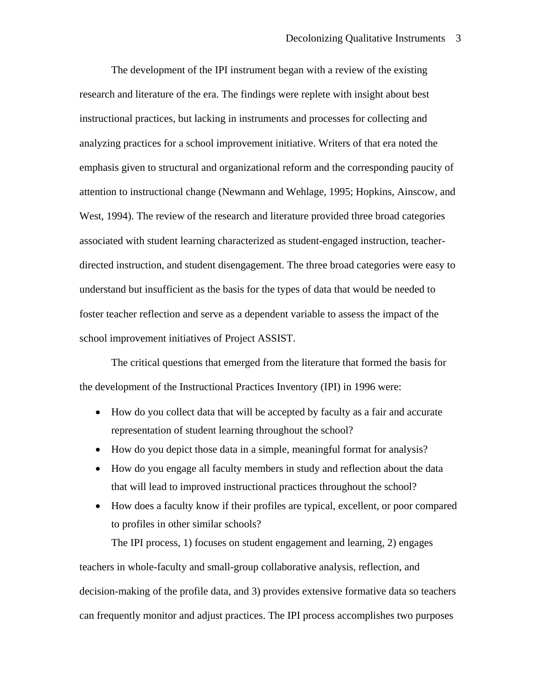The development of the IPI instrument began with a review of the existing research and literature of the era. The findings were replete with insight about best instructional practices, but lacking in instruments and processes for collecting and analyzing practices for a school improvement initiative. Writers of that era noted the emphasis given to structural and organizational reform and the corresponding paucity of attention to instructional change (Newmann and Wehlage, 1995; Hopkins, Ainscow, and West, 1994). The review of the research and literature provided three broad categories associated with student learning characterized as student-engaged instruction, teacherdirected instruction, and student disengagement. The three broad categories were easy to understand but insufficient as the basis for the types of data that would be needed to foster teacher reflection and serve as a dependent variable to assess the impact of the school improvement initiatives of Project ASSIST.

The critical questions that emerged from the literature that formed the basis for the development of the Instructional Practices Inventory (IPI) in 1996 were:

- How do you collect data that will be accepted by faculty as a fair and accurate representation of student learning throughout the school?
- How do you depict those data in a simple, meaningful format for analysis?
- How do you engage all faculty members in study and reflection about the data that will lead to improved instructional practices throughout the school?
- How does a faculty know if their profiles are typical, excellent, or poor compared to profiles in other similar schools?

The IPI process, 1) focuses on student engagement and learning, 2) engages teachers in whole-faculty and small-group collaborative analysis, reflection, and decision-making of the profile data, and 3) provides extensive formative data so teachers can frequently monitor and adjust practices. The IPI process accomplishes two purposes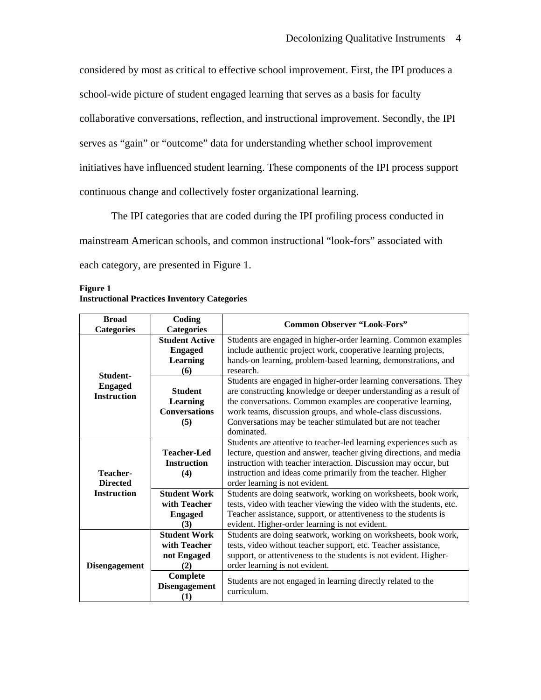considered by most as critical to effective school improvement. First, the IPI produces a school-wide picture of student engaged learning that serves as a basis for faculty collaborative conversations, reflection, and instructional improvement. Secondly, the IPI serves as "gain" or "outcome" data for understanding whether school improvement initiatives have influenced student learning. These components of the IPI process support continuous change and collectively foster organizational learning.

The IPI categories that are coded during the IPI profiling process conducted in mainstream American schools, and common instructional "look-fors" associated with each category, are presented in Figure 1.

| <b>Figure 1</b>                                     |  |
|-----------------------------------------------------|--|
| <b>Instructional Practices Inventory Categories</b> |  |

| <b>Broad</b>                         | Coding                                                       | <b>Common Observer "Look-Fors"</b>                                                                                                                                                                                                                                                                                                                 |  |  |  |
|--------------------------------------|--------------------------------------------------------------|----------------------------------------------------------------------------------------------------------------------------------------------------------------------------------------------------------------------------------------------------------------------------------------------------------------------------------------------------|--|--|--|
| <b>Categories</b>                    | <b>Categories</b>                                            |                                                                                                                                                                                                                                                                                                                                                    |  |  |  |
|                                      | <b>Student Active</b>                                        | Students are engaged in higher-order learning. Common examples                                                                                                                                                                                                                                                                                     |  |  |  |
|                                      | <b>Engaged</b>                                               | include authentic project work, cooperative learning projects,                                                                                                                                                                                                                                                                                     |  |  |  |
|                                      | Learning                                                     | hands-on learning, problem-based learning, demonstrations, and                                                                                                                                                                                                                                                                                     |  |  |  |
| Student-                             | (6)                                                          | research.                                                                                                                                                                                                                                                                                                                                          |  |  |  |
| <b>Engaged</b><br><b>Instruction</b> | <b>Student</b><br>Learning<br><b>Conversations</b><br>(5)    | Students are engaged in higher-order learning conversations. They<br>are constructing knowledge or deeper understanding as a result of<br>the conversations. Common examples are cooperative learning,<br>work teams, discussion groups, and whole-class discussions.<br>Conversations may be teacher stimulated but are not teacher<br>dominated. |  |  |  |
| Teacher-<br><b>Directed</b>          | <b>Teacher-Led</b><br><b>Instruction</b><br>(4)              | Students are attentive to teacher-led learning experiences such as<br>lecture, question and answer, teacher giving directions, and media<br>instruction with teacher interaction. Discussion may occur, but<br>instruction and ideas come primarily from the teacher. Higher<br>order learning is not evident.                                     |  |  |  |
| <b>Instruction</b>                   | <b>Student Work</b><br>with Teacher<br><b>Engaged</b><br>(3) | Students are doing seatwork, working on worksheets, book work,<br>tests, video with teacher viewing the video with the students, etc.<br>Teacher assistance, support, or attentiveness to the students is<br>evident. Higher-order learning is not evident.                                                                                        |  |  |  |
| <b>Disengagement</b>                 | <b>Student Work</b><br>with Teacher<br>not Engaged<br>(2)    | Students are doing seatwork, working on worksheets, book work,<br>tests, video without teacher support, etc. Teacher assistance,<br>support, or attentiveness to the students is not evident. Higher-<br>order learning is not evident.                                                                                                            |  |  |  |
|                                      | Complete<br><b>Disengagement</b><br>(1)                      | Students are not engaged in learning directly related to the<br>curriculum.                                                                                                                                                                                                                                                                        |  |  |  |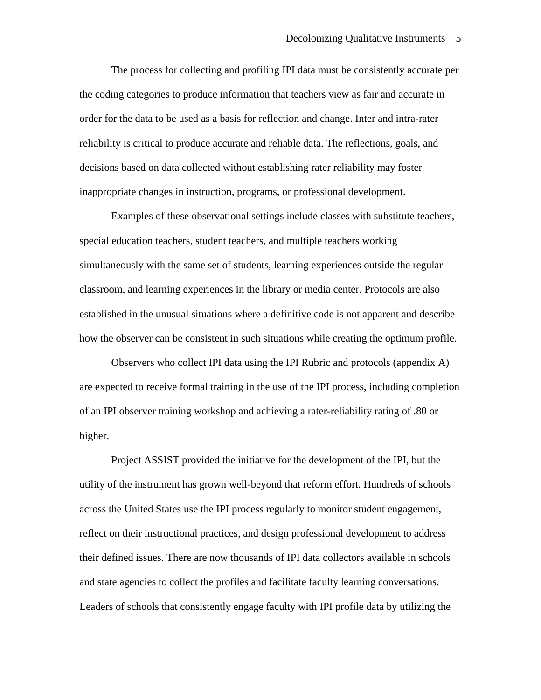The process for collecting and profiling IPI data must be consistently accurate per the coding categories to produce information that teachers view as fair and accurate in order for the data to be used as a basis for reflection and change. Inter and intra-rater reliability is critical to produce accurate and reliable data. The reflections, goals, and decisions based on data collected without establishing rater reliability may foster inappropriate changes in instruction, programs, or professional development.

Examples of these observational settings include classes with substitute teachers, special education teachers, student teachers, and multiple teachers working simultaneously with the same set of students, learning experiences outside the regular classroom, and learning experiences in the library or media center. Protocols are also established in the unusual situations where a definitive code is not apparent and describe how the observer can be consistent in such situations while creating the optimum profile.

Observers who collect IPI data using the IPI Rubric and protocols (appendix A) are expected to receive formal training in the use of the IPI process, including completion of an IPI observer training workshop and achieving a rater-reliability rating of .80 or higher.

Project ASSIST provided the initiative for the development of the IPI, but the utility of the instrument has grown well-beyond that reform effort. Hundreds of schools across the United States use the IPI process regularly to monitor student engagement, reflect on their instructional practices, and design professional development to address their defined issues. There are now thousands of IPI data collectors available in schools and state agencies to collect the profiles and facilitate faculty learning conversations. Leaders of schools that consistently engage faculty with IPI profile data by utilizing the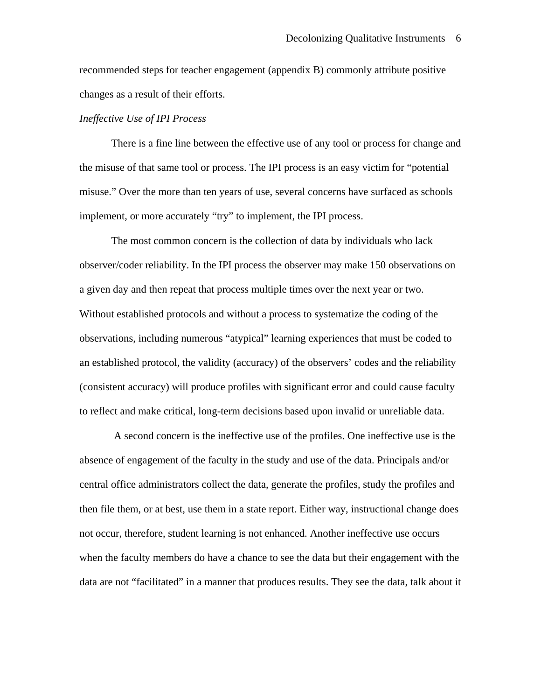recommended steps for teacher engagement (appendix B) commonly attribute positive changes as a result of their efforts.

## *Ineffective Use of IPI Process*

 There is a fine line between the effective use of any tool or process for change and the misuse of that same tool or process. The IPI process is an easy victim for "potential misuse." Over the more than ten years of use, several concerns have surfaced as schools implement, or more accurately "try" to implement, the IPI process.

 The most common concern is the collection of data by individuals who lack observer/coder reliability. In the IPI process the observer may make 150 observations on a given day and then repeat that process multiple times over the next year or two. Without established protocols and without a process to systematize the coding of the observations, including numerous "atypical" learning experiences that must be coded to an established protocol, the validity (accuracy) of the observers' codes and the reliability (consistent accuracy) will produce profiles with significant error and could cause faculty to reflect and make critical, long-term decisions based upon invalid or unreliable data.

 A second concern is the ineffective use of the profiles. One ineffective use is the absence of engagement of the faculty in the study and use of the data. Principals and/or central office administrators collect the data, generate the profiles, study the profiles and then file them, or at best, use them in a state report. Either way, instructional change does not occur, therefore, student learning is not enhanced. Another ineffective use occurs when the faculty members do have a chance to see the data but their engagement with the data are not "facilitated" in a manner that produces results. They see the data, talk about it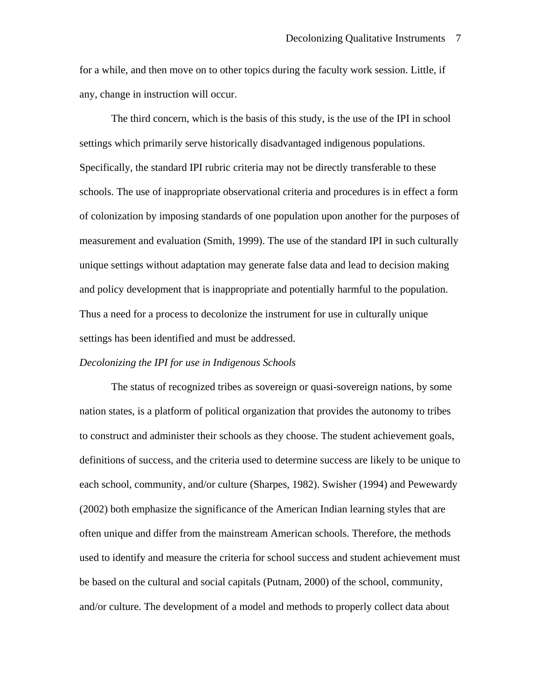for a while, and then move on to other topics during the faculty work session. Little, if any, change in instruction will occur.

The third concern, which is the basis of this study, is the use of the IPI in school settings which primarily serve historically disadvantaged indigenous populations. Specifically, the standard IPI rubric criteria may not be directly transferable to these schools. The use of inappropriate observational criteria and procedures is in effect a form of colonization by imposing standards of one population upon another for the purposes of measurement and evaluation (Smith, 1999). The use of the standard IPI in such culturally unique settings without adaptation may generate false data and lead to decision making and policy development that is inappropriate and potentially harmful to the population. Thus a need for a process to decolonize the instrument for use in culturally unique settings has been identified and must be addressed.

#### *Decolonizing the IPI for use in Indigenous Schools*

The status of recognized tribes as sovereign or quasi-sovereign nations, by some nation states, is a platform of political organization that provides the autonomy to tribes to construct and administer their schools as they choose. The student achievement goals, definitions of success, and the criteria used to determine success are likely to be unique to each school, community, and/or culture (Sharpes, 1982). Swisher (1994) and Pewewardy (2002) both emphasize the significance of the American Indian learning styles that are often unique and differ from the mainstream American schools. Therefore, the methods used to identify and measure the criteria for school success and student achievement must be based on the cultural and social capitals (Putnam, 2000) of the school, community, and/or culture. The development of a model and methods to properly collect data about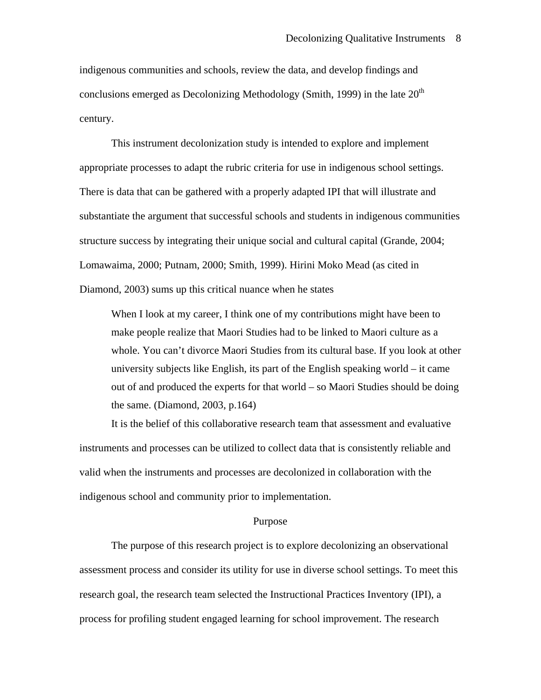indigenous communities and schools, review the data, and develop findings and conclusions emerged as Decolonizing Methodology (Smith, 1999) in the late  $20<sup>th</sup>$ century.

This instrument decolonization study is intended to explore and implement appropriate processes to adapt the rubric criteria for use in indigenous school settings. There is data that can be gathered with a properly adapted IPI that will illustrate and substantiate the argument that successful schools and students in indigenous communities structure success by integrating their unique social and cultural capital (Grande, 2004; Lomawaima, 2000; Putnam, 2000; Smith, 1999). Hirini Moko Mead (as cited in Diamond, 2003) sums up this critical nuance when he states

When I look at my career, I think one of my contributions might have been to make people realize that Maori Studies had to be linked to Maori culture as a whole. You can't divorce Maori Studies from its cultural base. If you look at other university subjects like English, its part of the English speaking world – it came out of and produced the experts for that world – so Maori Studies should be doing the same. (Diamond, 2003, p.164)

 It is the belief of this collaborative research team that assessment and evaluative instruments and processes can be utilized to collect data that is consistently reliable and valid when the instruments and processes are decolonized in collaboration with the indigenous school and community prior to implementation.

### Purpose

The purpose of this research project is to explore decolonizing an observational assessment process and consider its utility for use in diverse school settings. To meet this research goal, the research team selected the Instructional Practices Inventory (IPI), a process for profiling student engaged learning for school improvement. The research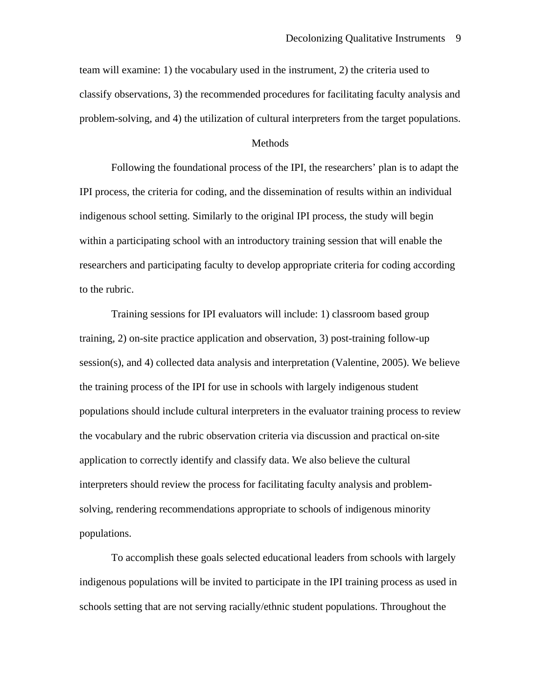team will examine: 1) the vocabulary used in the instrument, 2) the criteria used to classify observations, 3) the recommended procedures for facilitating faculty analysis and problem-solving, and 4) the utilization of cultural interpreters from the target populations.

#### Methods

 Following the foundational process of the IPI, the researchers' plan is to adapt the IPI process, the criteria for coding, and the dissemination of results within an individual indigenous school setting. Similarly to the original IPI process, the study will begin within a participating school with an introductory training session that will enable the researchers and participating faculty to develop appropriate criteria for coding according to the rubric.

Training sessions for IPI evaluators will include: 1) classroom based group training, 2) on-site practice application and observation, 3) post-training follow-up session(s), and 4) collected data analysis and interpretation (Valentine, 2005). We believe the training process of the IPI for use in schools with largely indigenous student populations should include cultural interpreters in the evaluator training process to review the vocabulary and the rubric observation criteria via discussion and practical on-site application to correctly identify and classify data. We also believe the cultural interpreters should review the process for facilitating faculty analysis and problemsolving, rendering recommendations appropriate to schools of indigenous minority populations.

To accomplish these goals selected educational leaders from schools with largely indigenous populations will be invited to participate in the IPI training process as used in schools setting that are not serving racially/ethnic student populations. Throughout the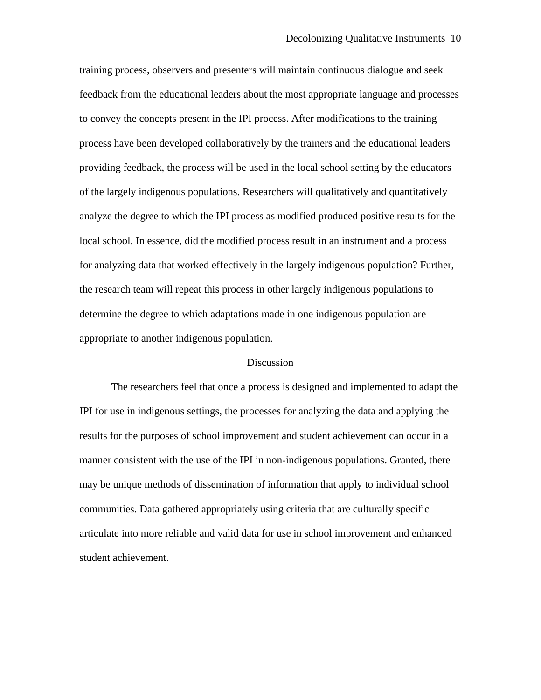training process, observers and presenters will maintain continuous dialogue and seek feedback from the educational leaders about the most appropriate language and processes to convey the concepts present in the IPI process. After modifications to the training process have been developed collaboratively by the trainers and the educational leaders providing feedback, the process will be used in the local school setting by the educators of the largely indigenous populations. Researchers will qualitatively and quantitatively analyze the degree to which the IPI process as modified produced positive results for the local school. In essence, did the modified process result in an instrument and a process for analyzing data that worked effectively in the largely indigenous population? Further, the research team will repeat this process in other largely indigenous populations to determine the degree to which adaptations made in one indigenous population are appropriate to another indigenous population.

#### **Discussion**

 The researchers feel that once a process is designed and implemented to adapt the IPI for use in indigenous settings, the processes for analyzing the data and applying the results for the purposes of school improvement and student achievement can occur in a manner consistent with the use of the IPI in non-indigenous populations. Granted, there may be unique methods of dissemination of information that apply to individual school communities. Data gathered appropriately using criteria that are culturally specific articulate into more reliable and valid data for use in school improvement and enhanced student achievement.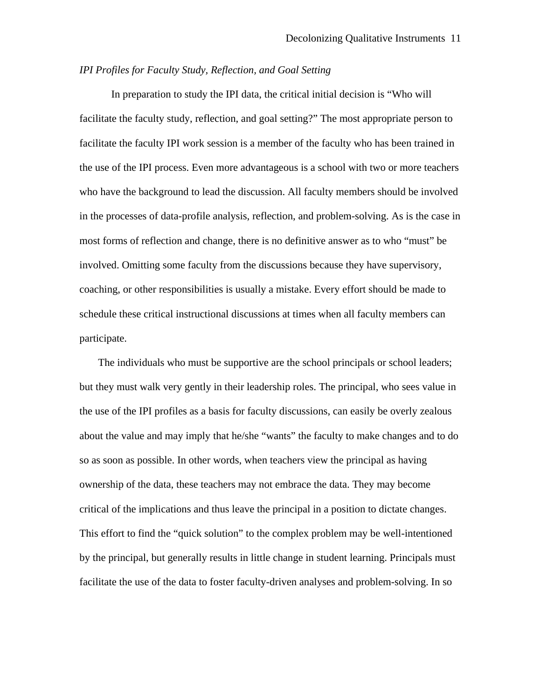### *IPI Profiles for Faculty Study, Reflection, and Goal Setting*

 In preparation to study the IPI data, the critical initial decision is "Who will facilitate the faculty study, reflection, and goal setting?" The most appropriate person to facilitate the faculty IPI work session is a member of the faculty who has been trained in the use of the IPI process. Even more advantageous is a school with two or more teachers who have the background to lead the discussion. All faculty members should be involved in the processes of data-profile analysis, reflection, and problem-solving. As is the case in most forms of reflection and change, there is no definitive answer as to who "must" be involved. Omitting some faculty from the discussions because they have supervisory, coaching, or other responsibilities is usually a mistake. Every effort should be made to schedule these critical instructional discussions at times when all faculty members can participate.

The individuals who must be supportive are the school principals or school leaders; but they must walk very gently in their leadership roles. The principal, who sees value in the use of the IPI profiles as a basis for faculty discussions, can easily be overly zealous about the value and may imply that he/she "wants" the faculty to make changes and to do so as soon as possible. In other words, when teachers view the principal as having ownership of the data, these teachers may not embrace the data. They may become critical of the implications and thus leave the principal in a position to dictate changes. This effort to find the "quick solution" to the complex problem may be well-intentioned by the principal, but generally results in little change in student learning. Principals must facilitate the use of the data to foster faculty-driven analyses and problem-solving. In so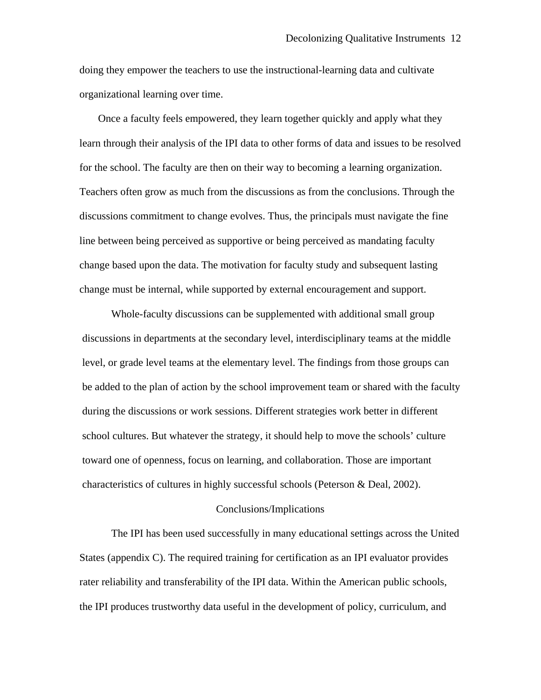doing they empower the teachers to use the instructional-learning data and cultivate organizational learning over time.

Once a faculty feels empowered, they learn together quickly and apply what they learn through their analysis of the IPI data to other forms of data and issues to be resolved for the school. The faculty are then on their way to becoming a learning organization. Teachers often grow as much from the discussions as from the conclusions. Through the discussions commitment to change evolves. Thus, the principals must navigate the fine line between being perceived as supportive or being perceived as mandating faculty change based upon the data. The motivation for faculty study and subsequent lasting change must be internal, while supported by external encouragement and support.

Whole-faculty discussions can be supplemented with additional small group discussions in departments at the secondary level, interdisciplinary teams at the middle level, or grade level teams at the elementary level. The findings from those groups can be added to the plan of action by the school improvement team or shared with the faculty during the discussions or work sessions. Different strategies work better in different school cultures. But whatever the strategy, it should help to move the schools' culture toward one of openness, focus on learning, and collaboration. Those are important characteristics of cultures in highly successful schools (Peterson & Deal, 2002).

#### Conclusions/Implications

The IPI has been used successfully in many educational settings across the United States (appendix C). The required training for certification as an IPI evaluator provides rater reliability and transferability of the IPI data. Within the American public schools, the IPI produces trustworthy data useful in the development of policy, curriculum, and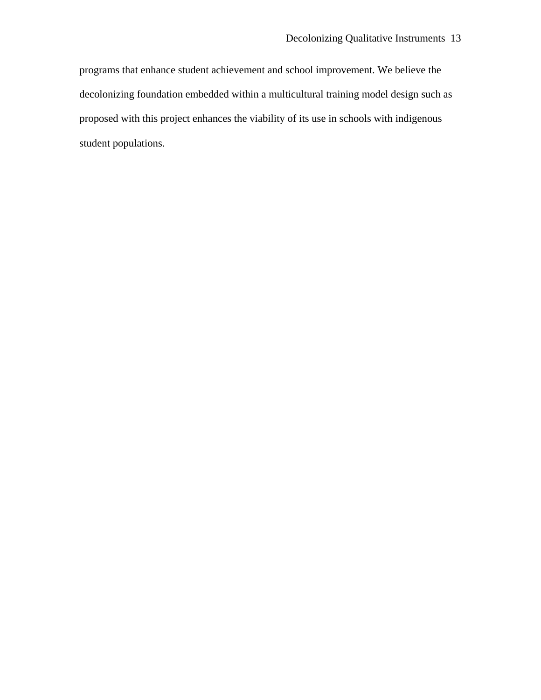programs that enhance student achievement and school improvement. We believe the decolonizing foundation embedded within a multicultural training model design such as proposed with this project enhances the viability of its use in schools with indigenous student populations.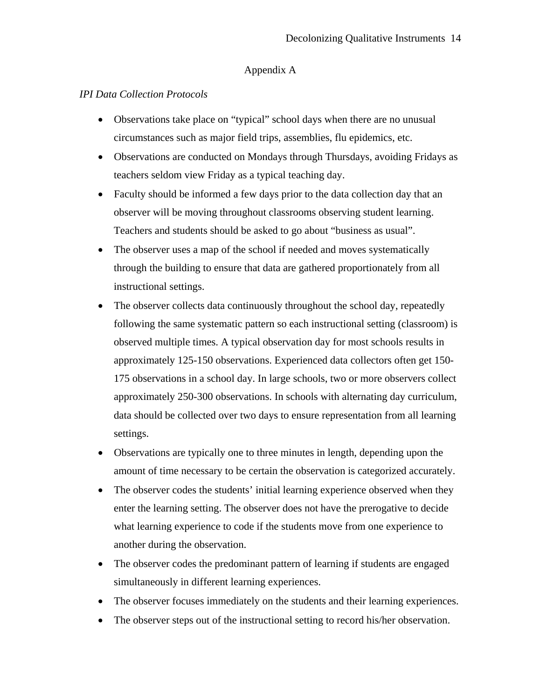# Appendix A

# *IPI Data Collection Protocols*

- Observations take place on "typical" school days when there are no unusual circumstances such as major field trips, assemblies, flu epidemics, etc.
- Observations are conducted on Mondays through Thursdays, avoiding Fridays as teachers seldom view Friday as a typical teaching day.
- Faculty should be informed a few days prior to the data collection day that an observer will be moving throughout classrooms observing student learning. Teachers and students should be asked to go about "business as usual".
- The observer uses a map of the school if needed and moves systematically through the building to ensure that data are gathered proportionately from all instructional settings.
- The observer collects data continuously throughout the school day, repeatedly following the same systematic pattern so each instructional setting (classroom) is observed multiple times. A typical observation day for most schools results in approximately 125-150 observations. Experienced data collectors often get 150- 175 observations in a school day. In large schools, two or more observers collect approximately 250-300 observations. In schools with alternating day curriculum, data should be collected over two days to ensure representation from all learning settings.
- Observations are typically one to three minutes in length, depending upon the amount of time necessary to be certain the observation is categorized accurately.
- The observer codes the students' initial learning experience observed when they enter the learning setting. The observer does not have the prerogative to decide what learning experience to code if the students move from one experience to another during the observation.
- The observer codes the predominant pattern of learning if students are engaged simultaneously in different learning experiences.
- The observer focuses immediately on the students and their learning experiences.
- The observer steps out of the instructional setting to record his/her observation.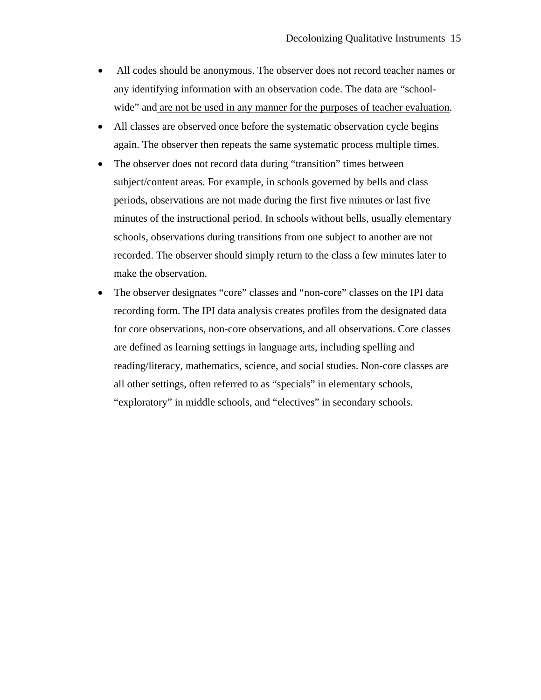- All codes should be anonymous. The observer does not record teacher names or any identifying information with an observation code. The data are "schoolwide" and are not be used in any manner for the purposes of teacher evaluation.
- All classes are observed once before the systematic observation cycle begins again. The observer then repeats the same systematic process multiple times.
- The observer does not record data during "transition" times between subject/content areas. For example, in schools governed by bells and class periods, observations are not made during the first five minutes or last five minutes of the instructional period. In schools without bells, usually elementary schools, observations during transitions from one subject to another are not recorded. The observer should simply return to the class a few minutes later to make the observation.
- The observer designates "core" classes and "non-core" classes on the IPI data recording form. The IPI data analysis creates profiles from the designated data for core observations, non-core observations, and all observations. Core classes are defined as learning settings in language arts, including spelling and reading/literacy, mathematics, science, and social studies. Non-core classes are all other settings, often referred to as "specials" in elementary schools, "exploratory" in middle schools, and "electives" in secondary schools.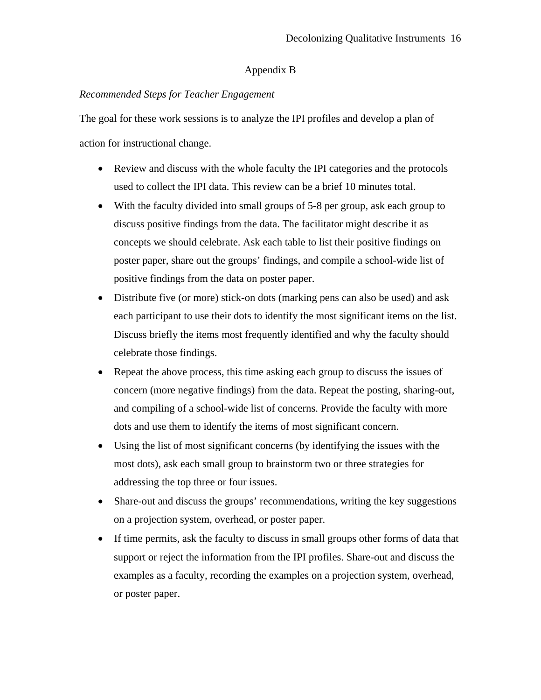# Appendix B

# *Recommended Steps for Teacher Engagement*

The goal for these work sessions is to analyze the IPI profiles and develop a plan of action for instructional change.

- Review and discuss with the whole faculty the IPI categories and the protocols used to collect the IPI data. This review can be a brief 10 minutes total.
- With the faculty divided into small groups of 5-8 per group, ask each group to discuss positive findings from the data. The facilitator might describe it as concepts we should celebrate. Ask each table to list their positive findings on poster paper, share out the groups' findings, and compile a school-wide list of positive findings from the data on poster paper.
- Distribute five (or more) stick-on dots (marking pens can also be used) and ask each participant to use their dots to identify the most significant items on the list. Discuss briefly the items most frequently identified and why the faculty should celebrate those findings.
- Repeat the above process, this time asking each group to discuss the issues of concern (more negative findings) from the data. Repeat the posting, sharing-out, and compiling of a school-wide list of concerns. Provide the faculty with more dots and use them to identify the items of most significant concern.
- Using the list of most significant concerns (by identifying the issues with the most dots), ask each small group to brainstorm two or three strategies for addressing the top three or four issues.
- Share-out and discuss the groups' recommendations, writing the key suggestions on a projection system, overhead, or poster paper.
- If time permits, ask the faculty to discuss in small groups other forms of data that support or reject the information from the IPI profiles. Share-out and discuss the examples as a faculty, recording the examples on a projection system, overhead, or poster paper.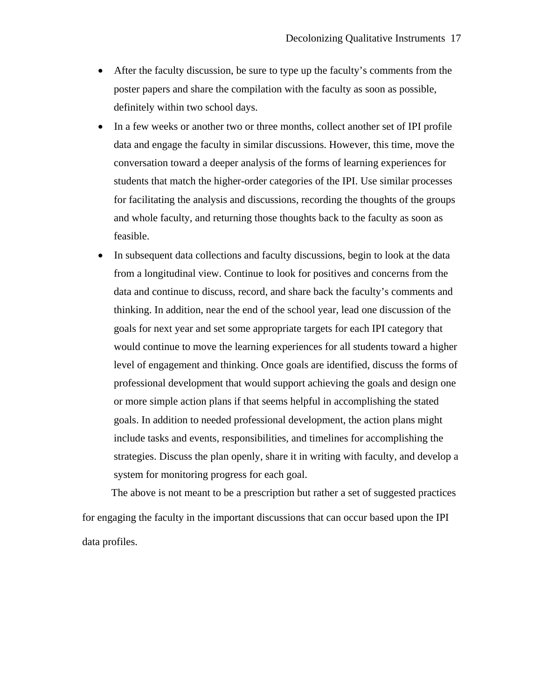- After the faculty discussion, be sure to type up the faculty's comments from the poster papers and share the compilation with the faculty as soon as possible, definitely within two school days.
- In a few weeks or another two or three months, collect another set of IPI profile data and engage the faculty in similar discussions. However, this time, move the conversation toward a deeper analysis of the forms of learning experiences for students that match the higher-order categories of the IPI. Use similar processes for facilitating the analysis and discussions, recording the thoughts of the groups and whole faculty, and returning those thoughts back to the faculty as soon as feasible.
- In subsequent data collections and faculty discussions, begin to look at the data from a longitudinal view. Continue to look for positives and concerns from the data and continue to discuss, record, and share back the faculty's comments and thinking. In addition, near the end of the school year, lead one discussion of the goals for next year and set some appropriate targets for each IPI category that would continue to move the learning experiences for all students toward a higher level of engagement and thinking. Once goals are identified, discuss the forms of professional development that would support achieving the goals and design one or more simple action plans if that seems helpful in accomplishing the stated goals. In addition to needed professional development, the action plans might include tasks and events, responsibilities, and timelines for accomplishing the strategies. Discuss the plan openly, share it in writing with faculty, and develop a system for monitoring progress for each goal.

The above is not meant to be a prescription but rather a set of suggested practices for engaging the faculty in the important discussions that can occur based upon the IPI data profiles.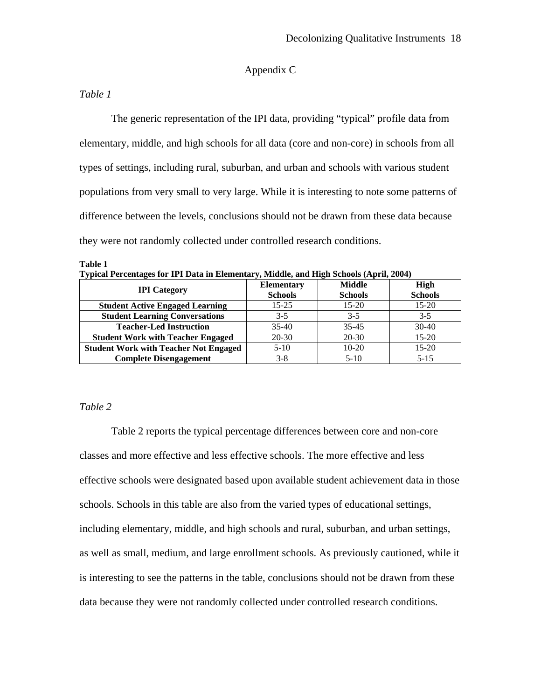# Appendix C

## *Table 1*

The generic representation of the IPI data, providing "typical" profile data from elementary, middle, and high schools for all data (core and non-core) in schools from all types of settings, including rural, suburban, and urban and schools with various student populations from very small to very large. While it is interesting to note some patterns of difference between the levels, conclusions should not be drawn from these data because they were not randomly collected under controlled research conditions.

**Table 1 Typical Percentages for IPI Data in Elementary, Middle, and High Schools (April, 2004)** 

| <b>IPI</b> Category                          | <b>Elementary</b><br><b>Schools</b> | <b>Middle</b><br><b>Schools</b> | <b>High</b><br><b>Schools</b> |
|----------------------------------------------|-------------------------------------|---------------------------------|-------------------------------|
| <b>Student Active Engaged Learning</b>       | $15 - 25$                           | $15-20$                         | $15-20$                       |
| <b>Student Learning Conversations</b>        | $3 - 5$                             | $3-5$                           | $3 - 5$                       |
| <b>Teacher-Led Instruction</b>               | $35-40$                             | $35 - 45$                       | $30-40$                       |
| <b>Student Work with Teacher Engaged</b>     | $20 - 30$                           | $20 - 30$                       | $15-20$                       |
| <b>Student Work with Teacher Not Engaged</b> | $5-10$                              | $10-20$                         | $15-20$                       |
| <b>Complete Disengagement</b>                | $3 - 8$                             | $5 - 10$                        | $5 - 15$                      |

### *Table 2*

Table 2 reports the typical percentage differences between core and non-core classes and more effective and less effective schools. The more effective and less effective schools were designated based upon available student achievement data in those schools. Schools in this table are also from the varied types of educational settings, including elementary, middle, and high schools and rural, suburban, and urban settings, as well as small, medium, and large enrollment schools. As previously cautioned, while it is interesting to see the patterns in the table, conclusions should not be drawn from these data because they were not randomly collected under controlled research conditions.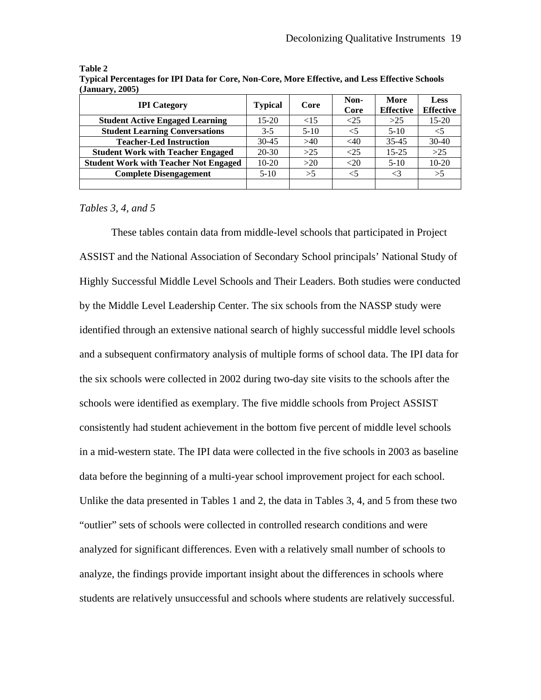| <b>IPI</b> Category                          | <b>Typical</b> | Core    | Non-<br>Core | More<br><b>Effective</b> | Less<br><b>Effective</b> |
|----------------------------------------------|----------------|---------|--------------|--------------------------|--------------------------|
| <b>Student Active Engaged Learning</b>       | $15-20$        | ${<}15$ | $<$ 25       | >25                      | $15 - 20$                |
| <b>Student Learning Conversations</b>        | $3-5$          | $5-10$  | $<$ 5        | $5-10$                   |                          |
| <b>Teacher-Led Instruction</b>               | $30-45$        | >40     | $<$ 40       | $35 - 45$                | $30-40$                  |
| <b>Student Work with Teacher Engaged</b>     | $20-30$        | $>25$   | ${<}25$      | $15 - 25$                | $>25$                    |
| <b>Student Work with Teacher Not Engaged</b> | $10-20$        | >20     | < 20         | $5-10$                   | $10-20$                  |
| <b>Complete Disengagement</b>                | $5-10$         | >5      | $<$ 5        | ${<}3$                   | >5                       |
|                                              |                |         |              |                          |                          |

**Table 2 Typical Percentages for IPI Data for Core, Non-Core, More Effective, and Less Effective Schools (January, 2005)** 

*Tables 3, 4, and 5* 

These tables contain data from middle-level schools that participated in Project ASSIST and the National Association of Secondary School principals' National Study of Highly Successful Middle Level Schools and Their Leaders. Both studies were conducted by the Middle Level Leadership Center. The six schools from the NASSP study were identified through an extensive national search of highly successful middle level schools and a subsequent confirmatory analysis of multiple forms of school data. The IPI data for the six schools were collected in 2002 during two-day site visits to the schools after the schools were identified as exemplary. The five middle schools from Project ASSIST consistently had student achievement in the bottom five percent of middle level schools in a mid-western state. The IPI data were collected in the five schools in 2003 as baseline data before the beginning of a multi-year school improvement project for each school. Unlike the data presented in Tables 1 and 2, the data in Tables 3, 4, and 5 from these two "outlier" sets of schools were collected in controlled research conditions and were analyzed for significant differences. Even with a relatively small number of schools to analyze, the findings provide important insight about the differences in schools where students are relatively unsuccessful and schools where students are relatively successful.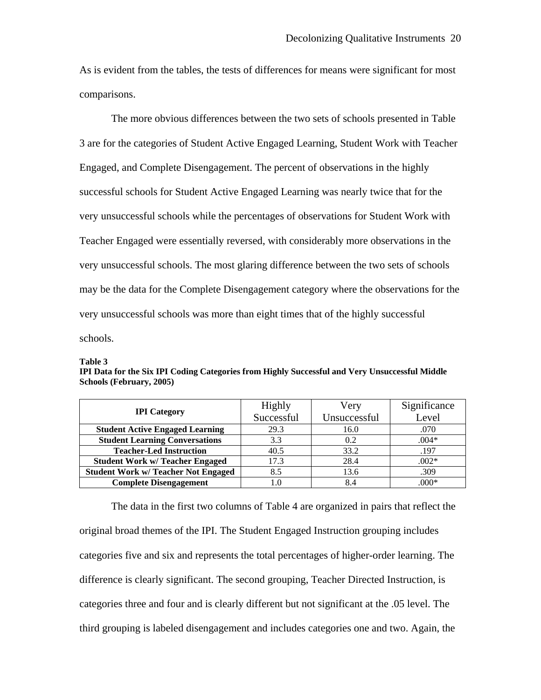As is evident from the tables, the tests of differences for means were significant for most comparisons.

The more obvious differences between the two sets of schools presented in Table 3 are for the categories of Student Active Engaged Learning, Student Work with Teacher Engaged, and Complete Disengagement. The percent of observations in the highly successful schools for Student Active Engaged Learning was nearly twice that for the very unsuccessful schools while the percentages of observations for Student Work with Teacher Engaged were essentially reversed, with considerably more observations in the very unsuccessful schools. The most glaring difference between the two sets of schools may be the data for the Complete Disengagement category where the observations for the very unsuccessful schools was more than eight times that of the highly successful schools.

#### **Table 3**

**IPI Data for the Six IPI Coding Categories from Highly Successful and Very Unsuccessful Middle Schools (February, 2005)** 

|                                            | Highly     | Very         | Significance |  |
|--------------------------------------------|------------|--------------|--------------|--|
| <b>IPI</b> Category                        | Successful | Unsuccessful | Level        |  |
| <b>Student Active Engaged Learning</b>     | 29.3       | 16.0         | .070         |  |
| <b>Student Learning Conversations</b>      | 3.3        | 0.2          | $.004*$      |  |
| <b>Teacher-Led Instruction</b>             | 40.5       | 33.2         | .197         |  |
| <b>Student Work w/ Teacher Engaged</b>     | 17.3       | 28.4         | $.002*$      |  |
| <b>Student Work w/ Teacher Not Engaged</b> | 8.5        | 13.6         | .309         |  |
| <b>Complete Disengagement</b>              | 1.0        | 8.4          | $.000*$      |  |

 The data in the first two columns of Table 4 are organized in pairs that reflect the original broad themes of the IPI. The Student Engaged Instruction grouping includes categories five and six and represents the total percentages of higher-order learning. The difference is clearly significant. The second grouping, Teacher Directed Instruction, is categories three and four and is clearly different but not significant at the .05 level. The third grouping is labeled disengagement and includes categories one and two. Again, the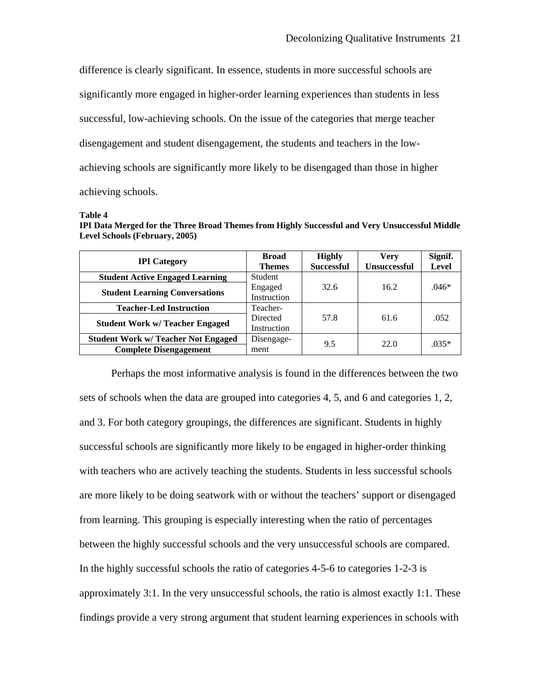difference is clearly significant. In essence, students in more successful schools are significantly more engaged in higher-order learning experiences than students in less successful, low-achieving schools. On the issue of the categories that merge teacher disengagement and student disengagement, the students and teachers in the lowachieving schools are significantly more likely to be disengaged than those in higher achieving schools.

#### **Table 4**

|                                       |  | IPI Data Merged for the Three Broad Themes from Highly Successful and Very Unsuccessful Middle |
|---------------------------------------|--|------------------------------------------------------------------------------------------------|
| <b>Level Schools (February, 2005)</b> |  |                                                                                                |

|                                            | <b>Broad</b>  | <b>Highly</b>     | Verv                | Signif. |
|--------------------------------------------|---------------|-------------------|---------------------|---------|
| <b>IPI</b> Category                        | <b>Themes</b> | <b>Successful</b> | <b>Unsuccessful</b> | Level   |
| <b>Student Active Engaged Learning</b>     | Student       |                   |                     |         |
| <b>Student Learning Conversations</b>      | Engaged       | 32.6              | 16.2                | $.046*$ |
|                                            | Instruction   |                   |                     |         |
| <b>Teacher-Led Instruction</b>             | Teacher-      |                   |                     |         |
|                                            | Directed      | 57.8              | 61.6                | .052    |
| <b>Student Work w/ Teacher Engaged</b>     | Instruction   |                   |                     |         |
| <b>Student Work w/ Teacher Not Engaged</b> | Disengage-    | 9.5               | 22.0                | $.035*$ |
| <b>Complete Disengagement</b>              | ment          |                   |                     |         |

Perhaps the most informative analysis is found in the differences between the two sets of schools when the data are grouped into categories 4, 5, and 6 and categories 1, 2, and 3. For both category groupings, the differences are significant. Students in highly successful schools are significantly more likely to be engaged in higher-order thinking with teachers who are actively teaching the students. Students in less successful schools are more likely to be doing seatwork with or without the teachers' support or disengaged from learning. This grouping is especially interesting when the ratio of percentages between the highly successful schools and the very unsuccessful schools are compared. In the highly successful schools the ratio of categories 4-5-6 to categories 1-2-3 is approximately 3:1. In the very unsuccessful schools, the ratio is almost exactly 1:1. These findings provide a very strong argument that student learning experiences in schools with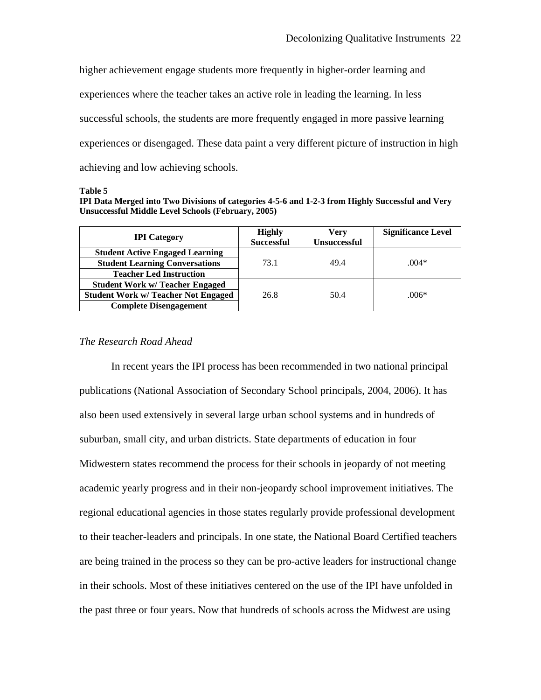higher achievement engage students more frequently in higher-order learning and experiences where the teacher takes an active role in leading the learning. In less successful schools, the students are more frequently engaged in more passive learning experiences or disengaged. These data paint a very different picture of instruction in high achieving and low achieving schools.

#### **Table 5**

**IPI Data Merged into Two Divisions of categories 4-5-6 and 1-2-3 from Highly Successful and Very Unsuccessful Middle Level Schools (February, 2005)** 

| <b>IPI</b> Category                        | <b>Highly</b><br><b>Successful</b> | Verv<br><b>Unsuccessful</b> | <b>Significance Level</b> |
|--------------------------------------------|------------------------------------|-----------------------------|---------------------------|
| <b>Student Active Engaged Learning</b>     |                                    |                             |                           |
| <b>Student Learning Conversations</b>      | 73.1                               | 49.4                        | $.004*$                   |
| <b>Teacher Led Instruction</b>             |                                    |                             |                           |
| <b>Student Work w/ Teacher Engaged</b>     |                                    |                             |                           |
| <b>Student Work w/ Teacher Not Engaged</b> | 26.8                               | 50.4                        | $.006*$                   |
| <b>Complete Disengagement</b>              |                                    |                             |                           |

# *The Research Road Ahead*

 In recent years the IPI process has been recommended in two national principal publications (National Association of Secondary School principals, 2004, 2006). It has also been used extensively in several large urban school systems and in hundreds of suburban, small city, and urban districts. State departments of education in four Midwestern states recommend the process for their schools in jeopardy of not meeting academic yearly progress and in their non-jeopardy school improvement initiatives. The regional educational agencies in those states regularly provide professional development to their teacher-leaders and principals. In one state, the National Board Certified teachers are being trained in the process so they can be pro-active leaders for instructional change in their schools. Most of these initiatives centered on the use of the IPI have unfolded in the past three or four years. Now that hundreds of schools across the Midwest are using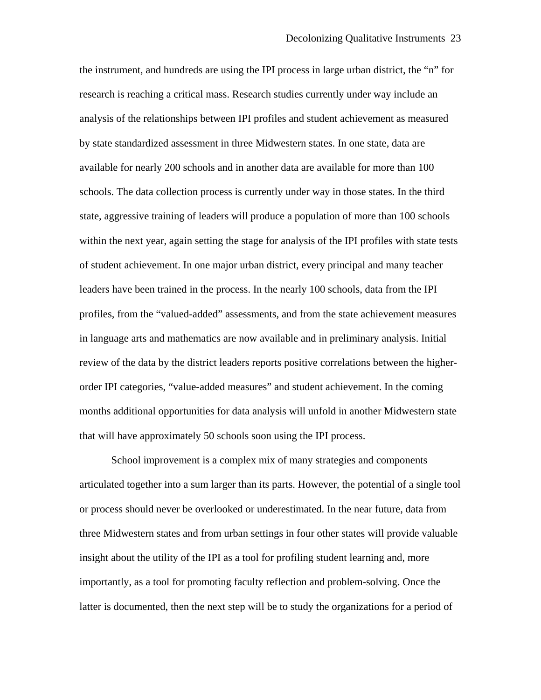the instrument, and hundreds are using the IPI process in large urban district, the "n" for research is reaching a critical mass. Research studies currently under way include an analysis of the relationships between IPI profiles and student achievement as measured by state standardized assessment in three Midwestern states. In one state, data are available for nearly 200 schools and in another data are available for more than 100 schools. The data collection process is currently under way in those states. In the third state, aggressive training of leaders will produce a population of more than 100 schools within the next year, again setting the stage for analysis of the IPI profiles with state tests of student achievement. In one major urban district, every principal and many teacher leaders have been trained in the process. In the nearly 100 schools, data from the IPI profiles, from the "valued-added" assessments, and from the state achievement measures in language arts and mathematics are now available and in preliminary analysis. Initial review of the data by the district leaders reports positive correlations between the higherorder IPI categories, "value-added measures" and student achievement. In the coming months additional opportunities for data analysis will unfold in another Midwestern state that will have approximately 50 schools soon using the IPI process.

 School improvement is a complex mix of many strategies and components articulated together into a sum larger than its parts. However, the potential of a single tool or process should never be overlooked or underestimated. In the near future, data from three Midwestern states and from urban settings in four other states will provide valuable insight about the utility of the IPI as a tool for profiling student learning and, more importantly, as a tool for promoting faculty reflection and problem-solving. Once the latter is documented, then the next step will be to study the organizations for a period of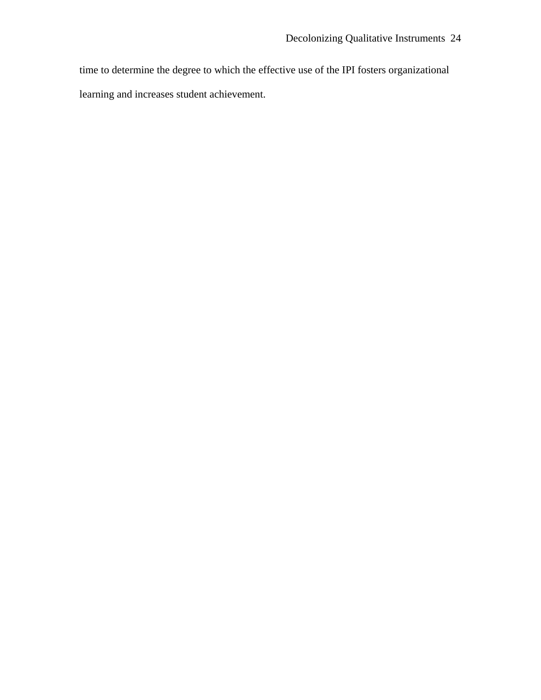time to determine the degree to which the effective use of the IPI fosters organizational learning and increases student achievement.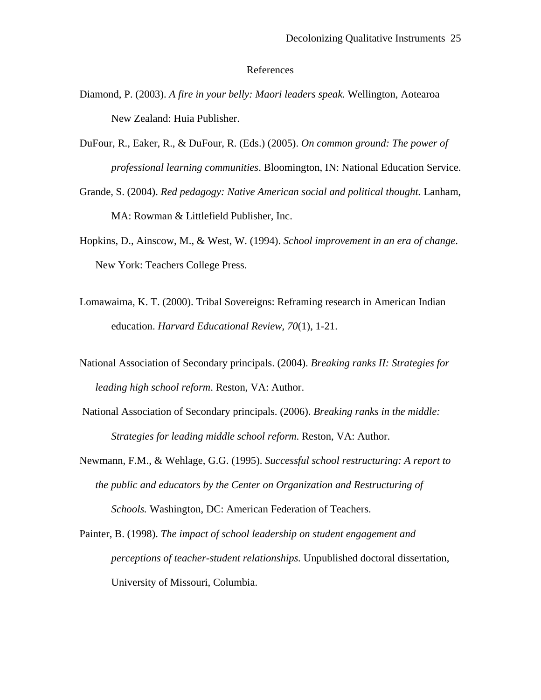#### References

- Diamond, P. (2003). *A fire in your belly: Maori leaders speak.* Wellington, Aotearoa New Zealand: Huia Publisher.
- DuFour, R., Eaker, R., & DuFour, R. (Eds.) (2005). *On common ground: The power of professional learning communities*. Bloomington, IN: National Education Service.
- Grande, S. (2004). *Red pedagogy: Native American social and political thought.* Lanham, MA: Rowman & Littlefield Publisher, Inc.
- Hopkins, D., Ainscow, M., & West, W. (1994). *School improvement in an era of change*. New York: Teachers College Press.
- Lomawaima, K. T. (2000). Tribal Sovereigns: Reframing research in American Indian education. *Harvard Educational Review, 70*(1), 1-21.
- National Association of Secondary principals. (2004). *Breaking ranks II: Strategies for leading high school reform*. Reston, VA: Author.
- National Association of Secondary principals. (2006). *Breaking ranks in the middle: Strategies for leading middle school reform*. Reston, VA: Author.
- Newmann, F.M., & Wehlage, G.G. (1995). *Successful school restructuring: A report to the public and educators by the Center on Organization and Restructuring of Schools.* Washington, DC: American Federation of Teachers.

Painter, B. (1998). *The impact of school leadership on student engagement and perceptions of teacher-student relationships.* Unpublished doctoral dissertation, University of Missouri, Columbia.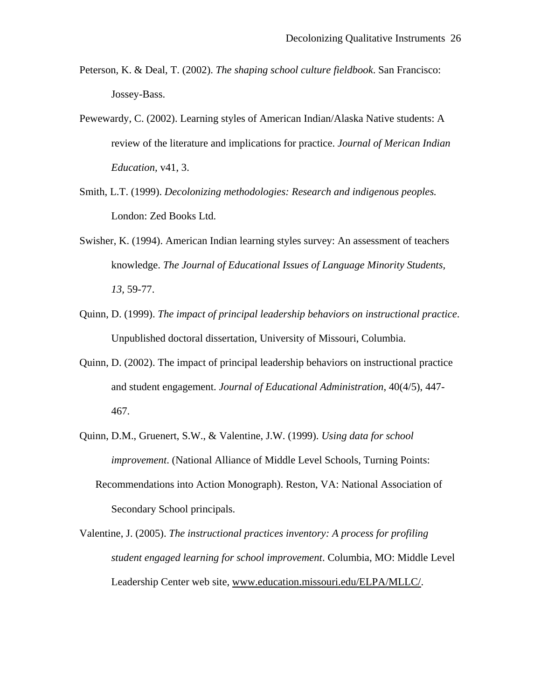- Peterson, K. & Deal, T. (2002). *The shaping school culture fieldbook*. San Francisco: Jossey-Bass.
- Pewewardy, C. (2002). Learning styles of American Indian/Alaska Native students: A review of the literature and implications for practice. *Journal of Merican Indian Education,* v41, 3.
- Smith, L.T. (1999). *Decolonizing methodologies: Research and indigenous peoples.*  London: Zed Books Ltd.
- Swisher, K. (1994). American Indian learning styles survey: An assessment of teachers knowledge. *The Journal of Educational Issues of Language Minority Students, 13,* 59-77.
- Quinn, D. (1999). *The impact of principal leadership behaviors on instructional practice*. Unpublished doctoral dissertation, University of Missouri, Columbia.
- Quinn, D. (2002). The impact of principal leadership behaviors on instructional practice and student engagement. *Journal of Educational Administration*, 40(4/5), 447- 467.
- Quinn, D.M., Gruenert, S.W., & Valentine, J.W. (1999). *Using data for school improvement*. (National Alliance of Middle Level Schools, Turning Points: Recommendations into Action Monograph). Reston, VA: National Association of Secondary School principals.
- Valentine, J. (2005). *The instructional practices inventory: A process for profiling student engaged learning for school improvement*. Columbia, MO: Middle Level Leadership Center web site, [www.education.missouri.edu/ELPA/MLLC/.](http://www.education.missouri.edu/ELPA/MLLC/)